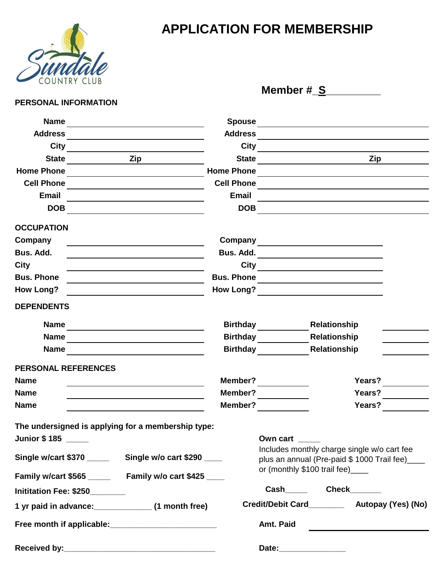

## **APPLICATION FOR MEMBERSHIP**

 **Member #\_S\_\_\_\_\_\_\_\_\_**

## **PERSONAL INFORMATION**

| <b>Name</b>                                                 |                                                                 | <b>Spouse</b>     |                            | the control of the control of the control of the control of the control of |                                                  |
|-------------------------------------------------------------|-----------------------------------------------------------------|-------------------|----------------------------|----------------------------------------------------------------------------|--------------------------------------------------|
| <b>Address</b>                                              |                                                                 | <b>Address</b>    |                            |                                                                            |                                                  |
| City                                                        |                                                                 | <b>City</b>       |                            |                                                                            |                                                  |
| <b>State</b>                                                | Zip                                                             | <b>State</b>      |                            |                                                                            | Zip                                              |
| <b>Home Phone</b>                                           |                                                                 | <b>Home Phone</b> |                            |                                                                            |                                                  |
| <b>Cell Phone</b>                                           |                                                                 | <b>Cell Phone</b> |                            |                                                                            |                                                  |
| <b>Email</b>                                                |                                                                 | <b>Email</b>      |                            |                                                                            |                                                  |
| <b>DOB</b>                                                  |                                                                 | <b>DOB</b>        |                            |                                                                            |                                                  |
| <b>OCCUPATION</b>                                           |                                                                 |                   |                            |                                                                            |                                                  |
| Company                                                     | the contract of the contract of the contract of the contract of |                   |                            |                                                                            |                                                  |
| Bus. Add.                                                   | <u> 1989 - Johann Barbara, martxa eta politikar</u>             | Bus. Add.         |                            | <u> 1980 - Johann Barn, mars an t-Amerikaansk politiker (</u>              |                                                  |
| City                                                        |                                                                 |                   |                            |                                                                            |                                                  |
| <b>Bus. Phone</b>                                           |                                                                 | <b>Bus. Phone</b> |                            | <u> 1989 - Jan James James Barnett, fransk politik (d. 1989)</u>           |                                                  |
| <b>How Long?</b>                                            |                                                                 | How Long?         |                            |                                                                            |                                                  |
| <b>DEPENDENTS</b>                                           |                                                                 |                   |                            |                                                                            |                                                  |
| <b>Name</b>                                                 |                                                                 | <b>Birthday</b>   |                            | Relationship                                                               |                                                  |
| <b>Name</b>                                                 |                                                                 | Birthday          |                            | Relationship                                                               |                                                  |
| <b>Name</b>                                                 |                                                                 |                   | <b>Birthday Example 19</b> | Relationship                                                               |                                                  |
| PERSONAL REFERENCES                                         |                                                                 |                   |                            |                                                                            |                                                  |
| <b>Name</b>                                                 |                                                                 | Member?           |                            |                                                                            | Years?                                           |
| Name                                                        |                                                                 | Member?           |                            |                                                                            | Years?                                           |
| <b>Name</b>                                                 |                                                                 | Member?           |                            |                                                                            | Years?                                           |
| The undersigned is applying for a membership type:          |                                                                 |                   |                            |                                                                            |                                                  |
| Junior \$185 ____                                           |                                                                 |                   | Own cart ____              |                                                                            |                                                  |
| Single w/cart \$370 ___________ Single w/o cart \$290 _____ |                                                                 |                   |                            | Includes monthly charge single w/o cart fee                                | plus an annual (Pre-paid \$ 1000 Trail fee) ____ |
| Family w/cart \$565 _______ Family w/o cart \$425 ____      |                                                                 |                   |                            | or (monthly \$100 trail fee)____                                           |                                                  |
| Inititation Fee: \$250_______                               |                                                                 |                   |                            | Cash_____________Check__________                                           |                                                  |
| 1 yr paid in advance:______________(1 month free)           |                                                                 |                   |                            |                                                                            | Credit/Debit Card___________ Autopay (Yes) (No)  |
|                                                             |                                                                 |                   | Amt. Paid                  |                                                                            |                                                  |
|                                                             |                                                                 |                   |                            |                                                                            |                                                  |